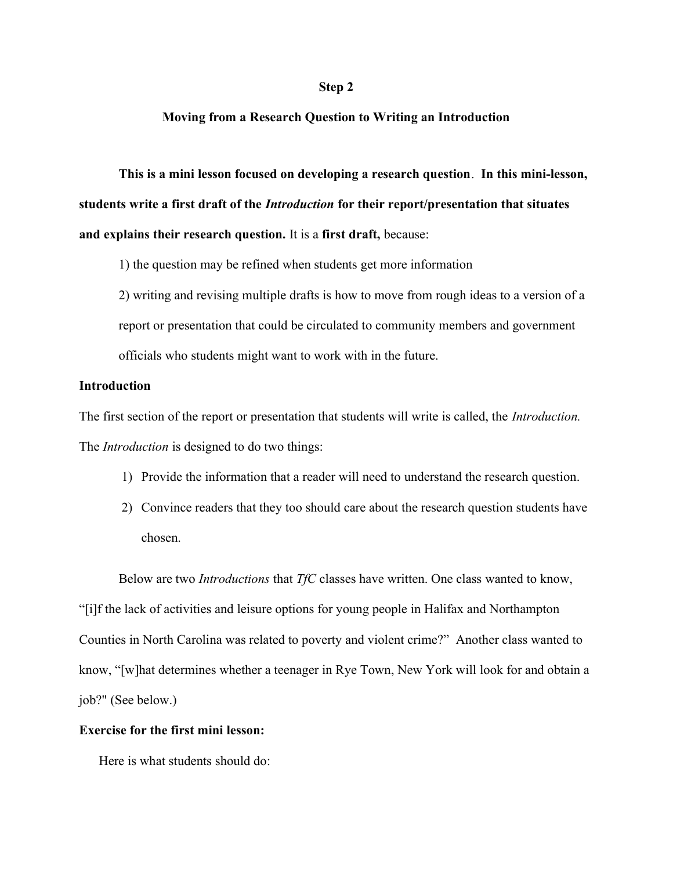#### Step 2

## Moving from a Research Question to Writing an Introduction

This is a mini lesson focused on developing a research question. In this mini-lesson, students write a first draft of the Introduction for their report/presentation that situates and explains their research question. It is a first draft, because:

1) the question may be refined when students get more information

2) writing and revising multiple drafts is how to move from rough ideas to a version of a report or presentation that could be circulated to community members and government officials who students might want to work with in the future.

# **Introduction**

The first section of the report or presentation that students will write is called, the *Introduction*. The Introduction is designed to do two things:

- 1) Provide the information that a reader will need to understand the research question.
- 2) Convince readers that they too should care about the research question students have chosen.

Below are two *Introductions* that *TfC* classes have written. One class wanted to know, "[i]f the lack of activities and leisure options for young people in Halifax and Northampton Counties in North Carolina was related to poverty and violent crime?" Another class wanted to know, "[w]hat determines whether a teenager in Rye Town, New York will look for and obtain a job?" (See below.)

## Exercise for the first mini lesson:

Here is what students should do: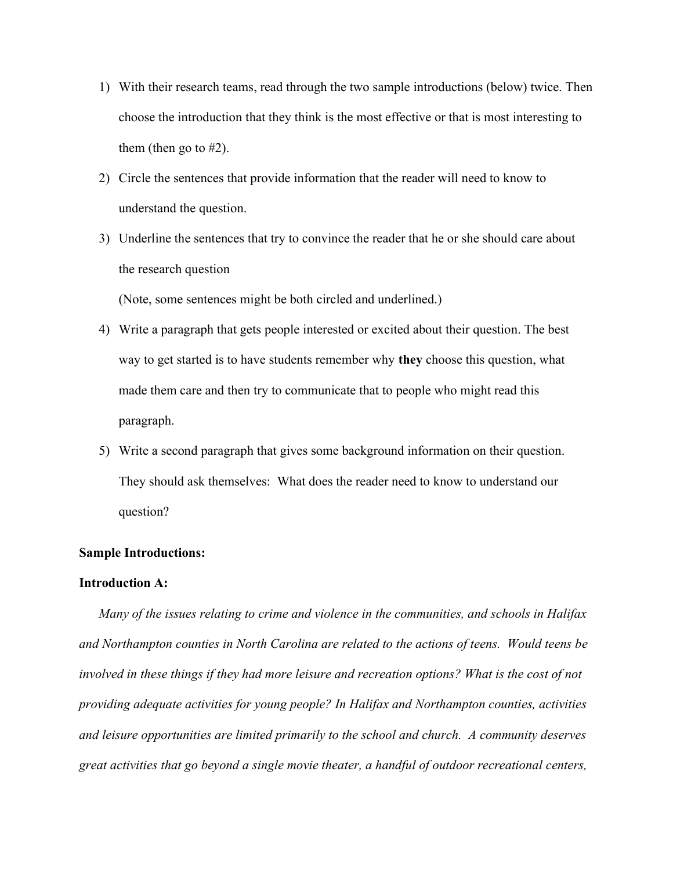- 1) With their research teams, read through the two sample introductions (below) twice. Then choose the introduction that they think is the most effective or that is most interesting to them (then go to #2).
- 2) Circle the sentences that provide information that the reader will need to know to understand the question.
- 3) Underline the sentences that try to convince the reader that he or she should care about the research question

(Note, some sentences might be both circled and underlined.)

- 4) Write a paragraph that gets people interested or excited about their question. The best way to get started is to have students remember why they choose this question, what made them care and then try to communicate that to people who might read this paragraph.
- 5) Write a second paragraph that gives some background information on their question. They should ask themselves: What does the reader need to know to understand our question?

# Sample Introductions:

# Introduction A:

Many of the issues relating to crime and violence in the communities, and schools in Halifax and Northampton counties in North Carolina are related to the actions of teens. Would teens be involved in these things if they had more leisure and recreation options? What is the cost of not providing adequate activities for young people? In Halifax and Northampton counties, activities and leisure opportunities are limited primarily to the school and church. A community deserves great activities that go beyond a single movie theater, a handful of outdoor recreational centers,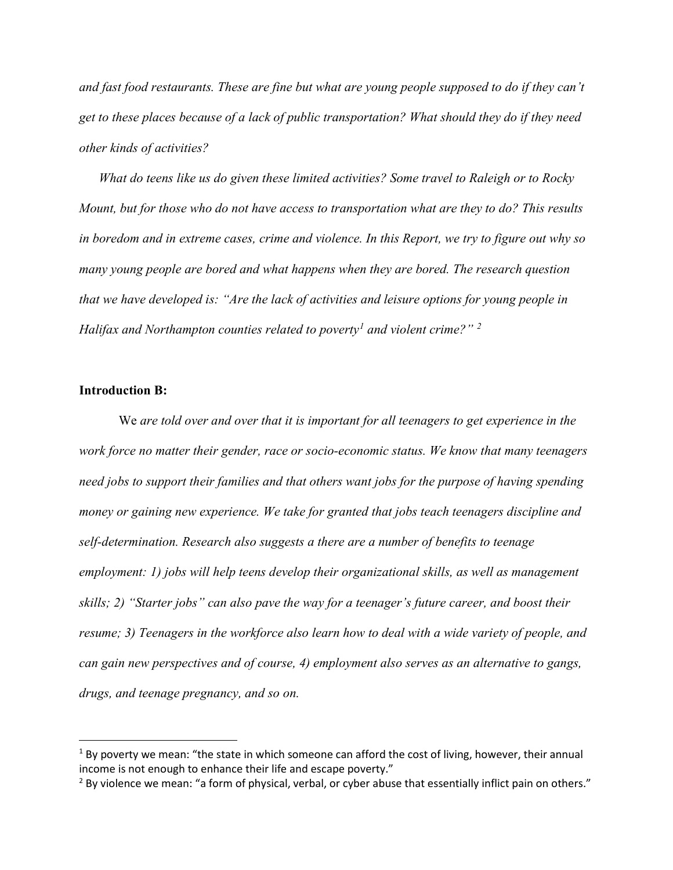and fast food restaurants. These are fine but what are young people supposed to do if they can't get to these places because of a lack of public transportation? What should they do if they need other kinds of activities?

What do teens like us do given these limited activities? Some travel to Raleigh or to Rocky Mount, but for those who do not have access to transportation what are they to do? This results in boredom and in extreme cases, crime and violence. In this Report, we try to figure out why so many young people are bored and what happens when they are bored. The research question that we have developed is: "Are the lack of activities and leisure options for young people in Halifax and Northampton counties related to poverty<sup>1</sup> and violent crime?" <sup>2</sup>

## Introduction B:

We are told over and over that it is important for all teenagers to get experience in the work force no matter their gender, race or socio-economic status. We know that many teenagers need jobs to support their families and that others want jobs for the purpose of having spending money or gaining new experience. We take for granted that jobs teach teenagers discipline and self-determination. Research also suggests a there are a number of benefits to teenage employment: 1) jobs will help teens develop their organizational skills, as well as management skills; 2) "Starter jobs" can also pave the way for a teenager's future career, and boost their resume; 3) Teenagers in the workforce also learn how to deal with a wide variety of people, and can gain new perspectives and of course, 4) employment also serves as an alternative to gangs, drugs, and teenage pregnancy, and so on.

 $<sup>1</sup>$  By poverty we mean: "the state in which someone can afford the cost of living, however, their annual</sup> income is not enough to enhance their life and escape poverty."

 $2$  By violence we mean: "a form of physical, verbal, or cyber abuse that essentially inflict pain on others."